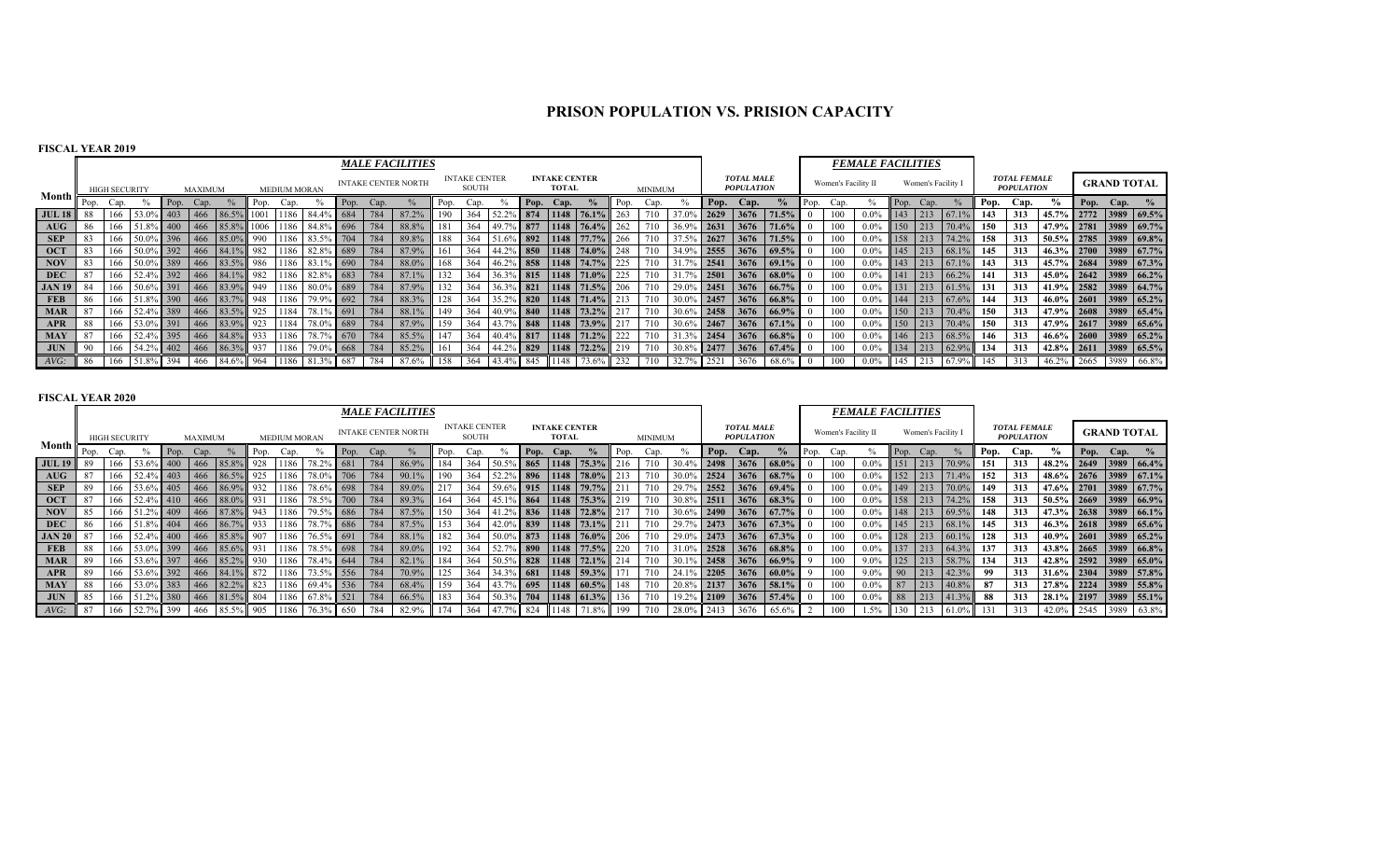# **PRISON POPULATION VS. PRISION CAPACITY**

## **FISCAL YEAR 2019**

|               |      |                      |           |                   |         |                                                                                                  |      |                     |                |      | <b>MALE FACILITIES</b>     |      |                               |                 |              |                                      |                               |      |         |            |      |                                        |                          |                     | <b>FEMALE FACILITIES</b> |      |                    |                 |      |                                          |                           |           |                       |
|---------------|------|----------------------|-----------|-------------------|---------|--------------------------------------------------------------------------------------------------|------|---------------------|----------------|------|----------------------------|------|-------------------------------|-----------------|--------------|--------------------------------------|-------------------------------|------|---------|------------|------|----------------------------------------|--------------------------|---------------------|--------------------------|------|--------------------|-----------------|------|------------------------------------------|---------------------------|-----------|-----------------------|
|               |      | <b>HIGH SECURITY</b> |           |                   | MAXIMUM |                                                                                                  |      | <b>MEDIUM MORAN</b> |                |      | <b>INTAKE CENTER NORTH</b> |      | <b>INTAKE CENTER</b><br>SOUTH |                 |              | <b>INTAKE CENTER</b><br><b>TOTAL</b> |                               |      | MINIMUM |            |      | <b>TOTAL MALE</b><br><b>POPULATION</b> |                          | Women's Facility II |                          |      | Women's Facility I |                 |      | <b>TOTAL FEMALE</b><br><b>POPULATION</b> |                           |           | <b>GRAND TOTAL</b>    |
| Month         | Pop. | Cap.                 |           | Pop. Cap.         |         |                                                                                                  | Pop. | Cap.                |                | Cap. |                            | Pop. | Cap.                          |                 | Pop.         | Cap.                                 |                               | Pop. | Cap.    |            | Pop. | Cap.                                   |                          | ∴ap.                |                          | Pop. | Cap.               |                 | Pop. | Cap.                                     | $\frac{6}{9}$             | Pop. Cap. |                       |
| <b>JUL 18</b> |      |                      |           | 403               |         |                                                                                                  |      | 1186                | 84.4%          | 784  | 87.2%                      | 190  | 364                           |                 |              |                                      | $1148$ 76.1%                  |      |         |            | 2629 | 3676                                   | 171.5%                   |                     |                          | 143  |                    |                 | 143  | 313                                      |                           |           | 45.7% 2772 3989 69.5% |
| AUG           |      |                      | 51.8% 400 |                   |         | 466 85.8% 1006 1186 84.8% 696                                                                    |      |                     |                | 784  | 88.8%                      |      | 364                           |                 | 877          |                                      | $1148$ 76.4%                  |      |         | 36.9% 2631 |      | 3676                                   | 71.6%                    |                     |                          | 150  |                    | 70.4%           | 150  | 313                                      | 47.9% 2781 3989 69.7%     |           |                       |
| <b>SEP</b>    | 83   |                      | 50.0%     |                   |         | $\%$ 396 466 85.0%                                                                               | 990  | 1186                | 83.5% 704      | 784  | 89.8%                      | 188  | 364                           |                 |              |                                      | $51.6\%$ 892 1148 77.7%       | 266  | 710     | 37.5% 2627 |      | 3676                                   | 71.5%                    |                     |                          | 158  |                    | 74.2%           | 158  | 313                                      | $50.5\%$ 2785 3989 69.8%  |           |                       |
| <b>OCT</b>    | -83  |                      |           |                   |         | 50.0% 392 466 84.1% 982 1186 82.8% 689                                                           |      |                     |                | 1784 | 87.9%                      | 161  | 364                           |                 |              |                                      | $ 44.2\% $ 850   1148   74.0% |      | 710     |            |      |                                        | 34.9% 2555 3676 69.5%    |                     | $0.0\%$                  | 145  |                    | $68.1\%$        | 145  | 313                                      | 46.3% 2700 3989 67.7%     |           |                       |
| <b>NOV</b>    | 83   |                      |           |                   |         | $\begin{array}{ c c c c c c c c c } \hline 50.0\% & 389 & 466 & 83.5\% & 986 \hline \end{array}$ |      | 1186                | 83.1% 690      | 784  | 88.0%                      | 168  | 364                           |                 |              |                                      | 46.2% 858 1148 74.7%          |      |         |            |      |                                        | $6$ 2541 3676 69.1%      |                     |                          | 143  |                    | $67.1\%$        | 143  | 313                                      |                           |           | 45.7% 2684 3989 67.3% |
| <b>DEC</b>    | 87   |                      |           |                   |         |                                                                                                  |      |                     |                | 784  | 87.1%                      |      | 364                           | 136.39          |              |                                      | $\%$ 815 1148 71.0%           | 225  | 710     |            |      |                                        | $5\,$ 2501 3676 68.0%    |                     | $0.0\%$                  | 141  |                    | $213 \t 66.2\%$ | 141  | 313                                      | $145.0\%$ 2642 3989 66.2% |           |                       |
| <b>JAN 19</b> | -84  |                      |           |                   |         | 50.6% 391 466 83.9% 949                                                                          |      |                     | 1186 80.0% 689 | 784  | 87.9%                      | 132  | 364                           |                 |              |                                      | 36.3% 821 1148 71.5%          | 206  | 710     |            |      |                                        | 29.0% 2451 3676 66.7%    |                     |                          | 131  |                    | $61.5\%$        | 131  | 313                                      |                           |           | 41.9% 2582 3989 64.7% |
| <b>FEB</b>    | -86  |                      |           |                   |         | 51.8% 390 466 83.7% 948 1186 79.9% 692                                                           |      |                     |                | 784  | 88.3%                      | 128  | 364                           | $135.2^{\circ}$ |              |                                      | $\%$ 820 1148 71.4%           |      |         |            |      |                                        | $30.0\%$ 2457 3676 66.8% |                     | $0.0\%$                  | 144  |                    | $67.6\%$        | 144  | 313                                      | 46.0% 2601 3989 65.2%     |           |                       |
| <b>MAR</b>    | 87   |                      |           |                   |         | 52.4% 389 466 83.5%                                                                              | 925  | 1184                | 78.1% 691      | 784  | 88.1%                      | 149  | 364                           |                 |              |                                      | 40.9% 840 1148 73.2%          |      |         |            |      | $30.6\%$ 2458 3676 66.9%               |                          |                     | $0.0\%$                  | 150  |                    | 70.4%           | 150  | 313                                      |                           |           | 47.9% 2608 3989 65.4% |
| APR           | -88  |                      | 53.0%     | $\frac{1}{6}$ 391 |         | 466 83.9% 923                                                                                    |      | 1184                | 78.0% 689      | 784  | 87.9%                      | 159  | 364                           |                 | $5 \mid 848$ |                                      | 1148 73.9%                    |      |         |            |      |                                        | $30.6\%$ 2467 3676 67.1% |                     | 0.0%                     | 150  |                    | 70.4%           | 150  | 313                                      | 47.9% 2617 3989 65.6%     |           |                       |
| <b>MAY</b>    | 87   |                      |           |                   |         | 52.4% 395 466 84.8% 933                                                                          |      | 1186                | 78.7% 670      | 784  | 85.5%                      |      | 364                           | 40.4% 817       |              |                                      | $1148$ 71.2%                  |      | 710     |            |      |                                        | $31.3\%$ 2454 3676 66.8% |                     |                          | 146  |                    | 68.5%           | 146  | 313                                      | 46.6% 2600 3989 65.2%     |           |                       |
| <b>JUN</b>    | 90   | 166                  | 54.2% 402 |                   |         | 466 86.3%                                                                                        | 937  | 1186                | 79.0% 668      | 784  | 85.2%                      | 161  | 364                           |                 |              |                                      | $ 44.2\% $ 829 1148 72.2%     | 219  | 710     | 30.8% 2477 |      |                                        | $3676$ 67.4%             |                     |                          | 134  |                    | 62.9%           | 134  | 313                                      | 42.8% 2611 3989 65.5%     |           |                       |
| $AVG$ :       |      |                      | 51.8% 394 |                   |         | $1466$ 84.6% 964 1186 81.3% 687                                                                  |      |                     |                |      | 87.6%                      | 158  | 364                           |                 | $-1845$      | 1148                                 |                               |      | 710     |            | 2521 |                                        | $68.6\%$                 |                     |                          | 145  |                    | 67.9%           | 145  | 313                                      | 46.2% 2665 3989           |           | 66.8%                 |

|                                    |      |                      |           |                 |                |                         |           |                     |                    |      |      | <b>MALE FACILITIES</b>     |      |                               |                 |     |                                      |                           |      |                |               |            |                                        |                          |      |                     | <b>FEMALE FACILITIES</b> |            |                                            |             |      |                                          |                       |       |                    |                 |
|------------------------------------|------|----------------------|-----------|-----------------|----------------|-------------------------|-----------|---------------------|--------------------|------|------|----------------------------|------|-------------------------------|-----------------|-----|--------------------------------------|---------------------------|------|----------------|---------------|------------|----------------------------------------|--------------------------|------|---------------------|--------------------------|------------|--------------------------------------------|-------------|------|------------------------------------------|-----------------------|-------|--------------------|-----------------|
|                                    |      | <b>HIGH SECURITY</b> |           |                 | <b>MAXIMUM</b> |                         |           | <b>MEDIUM MORAN</b> |                    |      |      | <b>INTAKE CENTER NORTH</b> |      | <b>INTAKE CENTER</b><br>SOUTH |                 |     | <b>INTAKE CENTER</b><br><b>TOTAL</b> |                           |      | <b>MINIMUM</b> |               |            | <b>TOTAL MALE</b><br><b>POPULATION</b> |                          |      | Women's Facility II |                          |            | Women's Facility I                         |             |      | <b>TOTAL FEMALE</b><br><b>POPULATION</b> |                       |       | <b>GRAND TOTAL</b> |                 |
| Month                              | Pop. | Cap.                 |           | Pop.            | Cap.           |                         | Pop.      | Cap.                |                    | Pop. | Cap. |                            | Pop. | Cap.                          |                 |     | Pop. Cap.                            |                           | Pop. | Cap.           |               | Pop.       | Cap.                                   | $\%$                     | Pop. | Can.                |                          | Pop.       | Can.                                       |             | Pop. | Cap.                                     |                       |       | Pop. Cap. $\%$     |                 |
| <b>JUL 19</b>                      |      | 166                  | 53.6% 400 |                 | 466            | 85.8%                   | 928       | 1186                | 78.2%              | 681  | 784  | 86.9%                      | 184  | 364                           | 50.59           | 865 |                                      | 1148 75.3%                | 216  | 710            | 30.4%         | 2498       | 3676                                   | $68.0\%$                 |      | 100                 | $0.0\%$                  | 151        | $\sqrt{213}$                               | 70.9%       | 151  | 313                                      | 48.2%                 |       |                    | 2649 3989 66.4% |
| $\mathbf{A} \mathbf{U} \mathbf{G}$ |      | 166                  | 52.4% 403 |                 | 466            | 86.5%                   | 925       |                     | 1186 78.0% 706 784 |      |      | 90.1%                      | 190  | 364                           | 52.2%           |     |                                      | 896 1148 78.0%            | 213  | 710            | 30.0%         | 2524       | 3676                                   | $68.7\%$                 |      | 100                 | $0.0\%$                  | 152        | 213                                        | 71.4%       | 152  | 313                                      | 48.6% 2676 3989 67.1% |       |                    |                 |
| <b>SEP</b>                         |      |                      | 53.6% 405 |                 | 466            | 86.9%                   | 932       | 1186                | 78.6%              | 698  | 784  | 89.0%                      | 217  | 364                           | 59.69           | 915 |                                      | 1148 79.7%                |      | 710            | 29.7%         | 2552       |                                        | 3676 69.4%               |      | 100                 | $0.0\%$                  | 149        | 213                                        | 70.0%       | 149  | 313                                      | 47.6% 2701            |       |                    | 3989 67.7%      |
| <b>OCT</b>                         |      | 166                  | 52.4%     | $\frac{1}{410}$ | 466            | $88.0\%$                | 931       | 1186                | 78.5%              | 700  |      | 89.3%                      | 164  | 364                           | 45.19           | 864 |                                      | 1148 75.3%                | 219  | 710            | 30.8%         | 2511       | 3676                                   | 68.3%                    |      | 100                 | $0.0\%$                  | 158        | 213                                        | 74.2%       | 158  | 313                                      | $50.5\%$ 2669         |       |                    | 3989 66.9%      |
| <b>NOV</b>                         |      | 166                  | 51.2% 409 |                 | $ 466\rangle$  | 87.8% 943               |           |                     | 1186 79.5% 686 784 |      |      | 87.5%                      | 150  | 364                           |                 |     |                                      | $ 41.2\% $ 836 1148 72.8% |      | 710            | $30.6\%$ 2490 |            | 3676 67.7%                             |                          |      | 100                 | $0.0\%$                  | 148        | $ 213\rangle$                              | 69.5%       | 148  | 313                                      | 47.3% 2638 3989 66.1% |       |                    |                 |
| DEC                                |      | 166                  |           | 51.8% 404       |                | $1466$ 86.7% 933        |           |                     | 1186 78.7% 686 784 |      |      | 87.5%                      | 153  | 364                           | $142.0^{\circ}$ |     |                                      | $839$   1148   73.1%      |      | 710            |               |            | 29.7% 2473 3676 67.3%                  |                          |      | 100                 | $0.0\%$                  | 145        | $\frac{1213}{2}$                           | $68.1\%$    | 145  | 313                                      | 46.3% 2618 3989 65.6% |       |                    |                 |
| <b>JAN 20</b>                      |      | 166                  | 52.4% 400 |                 |                | 466 85.8%               | 907       |                     | 1186 76.5% 691     |      | 784  | 88.1%                      | 182  | 364                           | 50.0%           |     |                                      | 873 1148 76.0%            | 206  | 710            |               | 29.0% 2473 |                                        | $3676$ 67.3%             |      | 100                 | $0.0\%$                  | 128        | $\begin{array}{c} \boxed{213} \end{array}$ | $60.1\%$    | 128  | 313                                      | 40.9% 2601 3989 65.2% |       |                    |                 |
| <b>FEB</b>                         |      | 166                  | 53.0% 399 |                 |                | 466 85.6% 931           |           |                     | 1186 78.5% 698 784 |      |      | 89.0%                      | 192  | 364                           | 52.7%           |     |                                      | 890 1148 77.5%            | 220  | 710            |               |            |                                        | $31.0\%$ 2528 3676 68.8% |      | 100                 | $0.0\%$                  | 137        |                                            | $213$ 64.3% | 137  | 313                                      | 43.8% 2665 3989 66.8% |       |                    |                 |
| <b>MAR</b>                         |      | 166                  | 53.6% 397 |                 |                | 466 85.2% 930           |           |                     | 1186 78.4% 644 784 |      |      | 82.1%                      | 184  | 364                           | 50.5%           |     |                                      | $828$   1148   72.1%      | 1214 | 710            | 30.1%         |            |                                        | 2458 3676 66.9%          |      | 100                 | $9.0\%$                  | 125        |                                            | $213$ 58.7% | 134  | 313                                      | 42.8% 2592 3989 65.0% |       |                    |                 |
| <b>APR</b>                         |      | 166                  |           |                 |                | 53.6% 392 466 84.1% 872 |           |                     | 1186 73.5% 556 784 |      |      | 70.9%                      | 125  | 364                           |                 |     |                                      | 34.3% 681 1148 59.3%      | 171  | 710            |               |            | 24.1% 2205 3676 60.0%                  |                          |      | 100                 | $9.0\%$                  | $\vert$ 90 |                                            | 213 42.3%   | 99   | 313                                      | 31.6% 2304 3989 57.8% |       |                    |                 |
| MAY                                |      | 166                  | 53.0% 383 |                 | $\boxed{466}$  | 82.2%                   | 823       |                     | 1186 69.4% 536     |      | 784  | 68.4%                      | 159  | 364                           | $43.7^\circ$    | 695 |                                      | $1148$ 60.5%              | 148  | 710            | 20.8%         | 2137       | 3676                                   | 158.1%                   |      | 100                 | $0.0\%$                  | 87         | 213                                        | 40.8%       | 87   | 313                                      | 27.8% 2224 3989 55.8% |       |                    |                 |
| <b>JUN</b>                         |      | 166                  | 51.2% 380 |                 | 1466           | 81.5% 804               |           | 1186                | 67.8%              | 521  | 1784 | 66.5%                      | 183  | 364                           | 50.3°           |     |                                      | $704$   1148   61.3%      | 136  | 710            | 19.2%         | 2109       | 13676                                  | 57.4%                    |      | 100                 | $0.0\%$                  | 88         | 213                                        | 141.3%      | 88   | 313                                      | 28.1% 2197 3989 55.1% |       |                    |                 |
| AVG:                               |      | 166                  |           | 399             | 466            | 85.5%                   | $6 - 905$ | 1186                | 76.3% 650          |      | 784  | 82.9%                      | 174  | 364                           |                 | 824 | 1148                                 | 71.8%                     | 199  | 710            | 28.0%         | 2413       | 3676                                   | 65.6%                    |      |                     | 1.5%                     | 130        | 213                                        |             | 131  |                                          | 42.0%                 | 12545 |                    | 3989 63.8%      |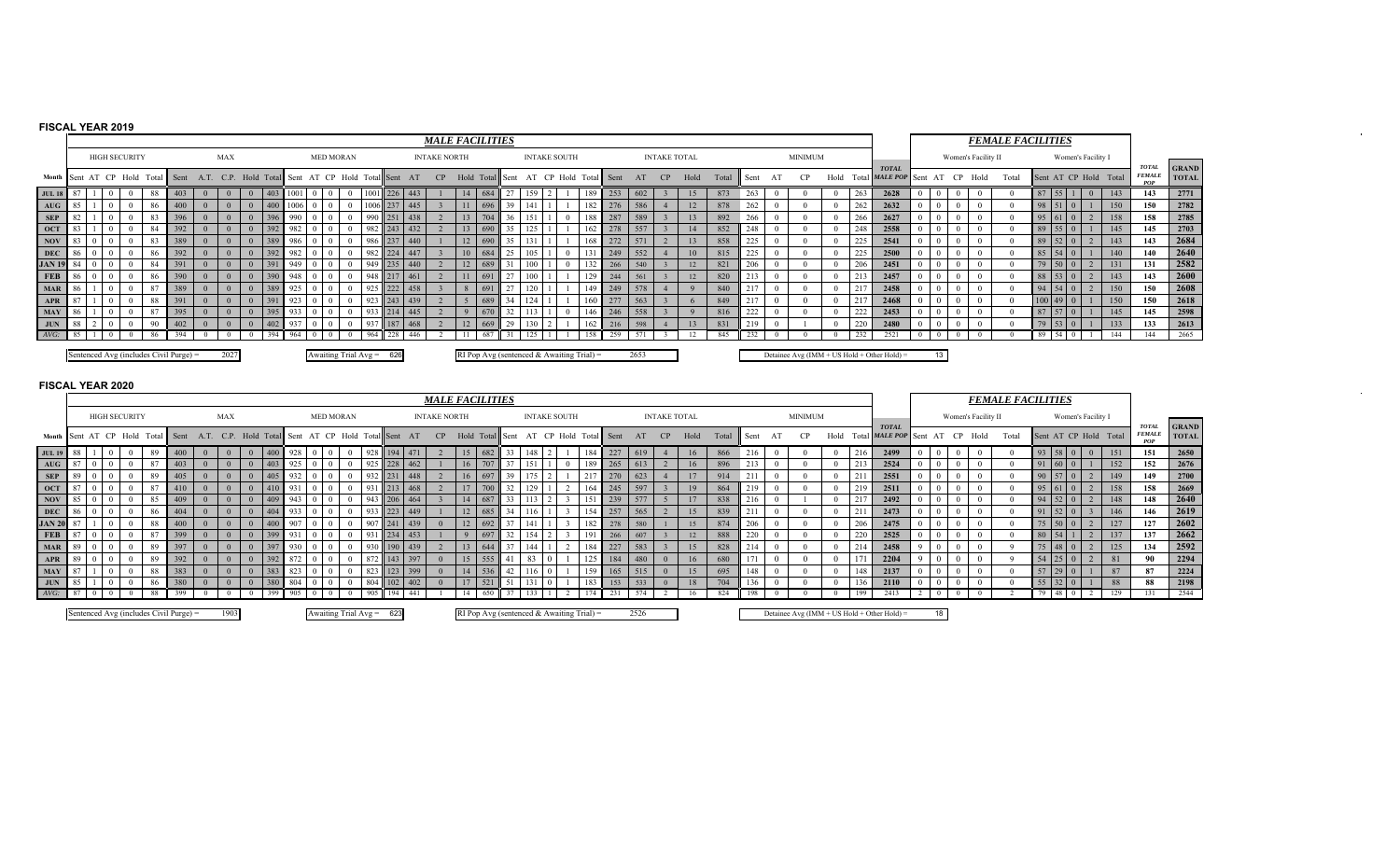## **FISCAL YEAR 2019**

|                  |  |                      |          |                                        |                                                 |     |      |          |                            |          |             |     | <b>MALE FACILITIES</b> |                                           |    |    |                     |     |                    |      |                     |      |       |      |                |      |     |                                             |       |                     |      | <b>FEMALE FACILITIES</b> |                     |                               |                    |                       |                                      |                              |
|------------------|--|----------------------|----------|----------------------------------------|-------------------------------------------------|-----|------|----------|----------------------------|----------|-------------|-----|------------------------|-------------------------------------------|----|----|---------------------|-----|--------------------|------|---------------------|------|-------|------|----------------|------|-----|---------------------------------------------|-------|---------------------|------|--------------------------|---------------------|-------------------------------|--------------------|-----------------------|--------------------------------------|------------------------------|
|                  |  | <b>HIGH SECURITY</b> |          |                                        | <b>MAX</b>                                      |     |      |          | <b>MED MORAN</b>           |          |             |     | <b>INTAKE NORTH</b>    |                                           |    |    | <b>INTAKE SOUTH</b> |     |                    |      | <b>INTAKE TOTAL</b> |      |       |      | <b>MINIMUM</b> |      |     |                                             |       | Women's Facility II |      |                          |                     |                               | Women's Facility I |                       |                                      |                              |
| Month            |  |                      |          | Sent AT CP Hold Total Sent             | A.T. C.P. Hold Total Sent AT CP Hold Total Sent |     |      |          |                            |          |             | AT  | CP                     | Hold Total Sent                           |    | AT |                     |     | CP Hold Total Sent | AT   | CP                  | Hold | Total | Sent |                | Hold |     | <b>TOTAL</b><br>Total MALE POP Sent         | AT CP |                     | Hold | Total                    |                     |                               |                    | Sent AT CP Hold Total | <b>TOTAL</b><br><b>FEMALE</b><br>POP | <b>GRAND</b><br><b>TOTAL</b> |
| <b>JUL 18</b> 8  |  |                      | -88      | 403                                    |                                                 | 403 |      |          | $\bf{0}$                   |          | 226         | 443 |                        | 684                                       |    |    |                     | 189 | 253                | 602  |                     | 15   | 873   | 263  |                |      | 263 | 2628                                        |       |                     |      |                          |                     | $87$   55   1                 | $\overline{0}$     | 143                   | 143                                  | 2771                         |
| AUG              |  |                      | -86      | 400                                    |                                                 | 400 | 1006 | $\Omega$ | $\overline{0}$             | 1006 237 |             | 445 |                        |                                           | 39 |    |                     | 182 | 276                | 586  |                     | 12   | 878   | 262  |                |      | 262 | 2632                                        |       |                     |      |                          | 98 51               | $\Box$                        |                    | 150                   | 150                                  | 2782                         |
| <b>SEP</b>       |  |                      |          | 396                                    |                                                 | 396 | 990  |          | $\theta$                   |          | 251         | 438 |                        | $70-$                                     |    |    |                     | 188 | 287                | 589  |                     | 13   | 892   | 266  |                |      | 266 | 2627                                        |       |                     |      |                          |                     | $\mathbf{1} \cdot \mathbf{0}$ |                    | 158                   | 158                                  | 2785                         |
| <b>OCT</b>       |  |                      | -84      | 392                                    |                                                 | 392 | 982  |          | $\Omega$                   | 982      | 243         | 432 |                        |                                           |    |    |                     |     | 278                | 557  |                     | 14   | 852   | 248  |                |      | 248 | 2558                                        |       |                     |      |                          |                     |                               |                    | 145                   | 145                                  | 2703                         |
| <b>NOV</b>       |  |                      |          | 389                                    |                                                 | 389 | 986  |          | $\Omega$                   | 986      | $\vert$ 237 | 440 |                        |                                           |    |    |                     |     | 272                | 571  |                     | 13   | 858   | 225  |                |      | 225 | 2541                                        |       |                     |      |                          |                     | $89 \mid 52 \mid 0$           |                    | 143                   | 143                                  | 2684                         |
| <b>DEC</b>       |  |                      | -86      | 392                                    |                                                 | 392 | 982  |          | $\Omega$                   | 982      | 224         | 447 |                        | 684                                       |    |    |                     |     | 249                | 552  |                     | 10   | 815   | 225  |                |      | 225 | 2500                                        |       |                     |      |                          |                     | 85 54 0                       |                    | 140                   | 140                                  | 2640                         |
| <b>JAN 19</b> 84 |  |                      |          | 391                                    |                                                 |     | 949  |          |                            |          | 235         | 440 |                        | 689                                       |    |    |                     |     | 266                | 540  |                     | 12   | 821   | 206  |                |      | 206 | 2451                                        |       |                     |      |                          |                     | $79 \ 50 \ 0$                 |                    | 131                   | 131                                  | 2582                         |
| FEB              |  |                      |          | 390                                    |                                                 |     | 948  |          |                            |          |             | 461 |                        | <sup>69</sup>                             |    |    |                     |     | 244                | 561  |                     | 12   | 820   |      |                |      |     | 2457                                        |       |                     |      |                          | $88$ 53 0           |                               |                    | 143                   | 143                                  | 2600                         |
| <b>MAR</b>       |  |                      | - 87     | 389                                    |                                                 |     |      |          | $\Omega$                   |          | 222         | 458 |                        | $\vert$ 69                                |    |    |                     |     | 249                | 578  |                     |      | 840   |      |                |      |     | 2458                                        |       |                     |      |                          | $94 \mid 54 \mid 0$ |                               |                    | 150                   | 150                                  | 2608                         |
| APR              |  |                      | -88      | 391                                    |                                                 |     |      |          |                            |          | 243         | 439 |                        | 68 <sup>o</sup>                           |    |    |                     |     |                    | 563  |                     |      | 849   |      |                |      |     | 2468                                        |       |                     |      |                          | $100 \, 49$         |                               |                    | 150                   | 150                                  | 2618                         |
| <b>MAY</b>       |  |                      |          | 395                                    |                                                 |     |      |          |                            |          |             | 445 |                        | 670                                       |    |    |                     |     | 246                | 558  |                     |      | 816   | LLL  |                |      | 222 | 2453                                        |       |                     |      |                          | 87 57               |                               |                    | 145                   | 145                                  | 2598                         |
| <b>JUN</b>       |  |                      | $\Omega$ | 402                                    |                                                 |     |      |          |                            |          | 187         | 468 |                        | 669                                       | 29 |    |                     |     | 216                | 598  |                     | 13   | 831   | 219  |                |      | 220 | 2480                                        |       |                     |      |                          | 79 53               |                               |                    | 133                   | 133                                  | 2613                         |
| $AVG$ :          |  |                      |          |                                        |                                                 |     | 964  |          |                            | 964      | 228         | 446 |                        | 687                                       |    |    |                     |     | 259                |      |                     |      | 845   |      |                |      |     |                                             |       |                     |      |                          | -89                 | 54                            |                    | 144                   | 144                                  | 2665                         |
|                  |  |                      |          | Sentenced Avg (includes Civil Purge) = | 2027                                            |     |      |          | Awaiting Trial $Avg = 626$ |          |             |     |                        | RI Pop Avg (sentenced & Awaiting Trial) = |    |    |                     |     |                    | 2653 |                     |      |       |      |                |      |     | Detainee Avg (IMM + US Hold + Other Hold) = | 13    |                     |      |                          |                     |                               |                    |                       |                                      |                              |

 $\sim$ 

 $\sim$ 

|               |  |                 |                      |                                        |          |          |     |              |                            |      |      |         |         | <b>MALE FACILITIES</b> |            |               |      |                                           |      |     |            |      |                     |      |       |      |                |                |     |                                             |    |    |                     | <b>FEMALE FACILITIES</b> |    |             |                    |                       |                                             |                              |
|---------------|--|-----------------|----------------------|----------------------------------------|----------|----------|-----|--------------|----------------------------|------|------|---------|---------|------------------------|------------|---------------|------|-------------------------------------------|------|-----|------------|------|---------------------|------|-------|------|----------------|----------------|-----|---------------------------------------------|----|----|---------------------|--------------------------|----|-------------|--------------------|-----------------------|---------------------------------------------|------------------------------|
|               |  |                 | <b>HIGH SECURITY</b> |                                        |          | MAX      |     |              | <b>MED MORAN</b>           |      |      |         |         | <b>INTAKE NORTH</b>    |            |               |      | <b>INTAKE SOUTH</b>                       |      |     |            |      | <b>INTAKE TOTAL</b> |      |       |      | <b>MINIMUM</b> |                |     |                                             |    |    | Women's Facility II |                          |    |             | Women's Facility I |                       |                                             |                              |
| Month I       |  | Sent AT CP Hold |                      | Total Sent                             | A.T.     |          |     |              | C.P. Hold Total Sent AT CP | Hold | Tota | ıl∥Sent | AT      | CP                     | Hold Total |               | Sent | AT CP Hold                                |      |     | Total Sent | AT   | CP                  | Hold | Total | Sent |                | Hold           |     | <b>TOTAL</b><br>Total MALE POP Sent         |    | CP | Hold                | Total                    |    |             |                    | Sent AT CP Hold Total | <b>TOTAL</b><br><b>FEMALE</b><br><b>POP</b> | <b>GRAND</b><br><b>TOTAL</b> |
| <b>JUL 19</b> |  |                 |                      | 400                                    |          |          |     |              |                            |      |      |         |         |                        | 15         |               |      |                                           |      | 184 | 227        |      |                     | 16   | 866   | 216  |                |                | 216 | 2499                                        |    |    |                     |                          |    |             |                    | 151                   | 151                                         | 2650                         |
| AUG           |  |                 |                      | 403                                    |          |          |     | $92^{\circ}$ |                            |      |      | 228     | 462     |                        | 16         |               |      |                                           |      | 189 | 265        |      |                     | 16   | 896   | 213  |                |                | 213 | 2524                                        |    |    |                     |                          | 91 |             |                    | 152                   | 152                                         | 2676                         |
| <b>SEP</b>    |  |                 |                      | 405                                    |          |          |     |              |                            |      |      |         | 448     |                        |            | $16 \t 697$   |      |                                           | 1217 |     | 270        | 623  |                     | 17   | 914   | 211  |                |                | 21  | 2551                                        |    |    |                     |                          |    | 90 57       |                    | 149                   | 149                                         | 2700                         |
| <b>OCT</b>    |  |                 |                      | 410                                    |          |          |     | 93'          |                            |      |      | 213     | 468     |                        | 17         | 700           |      |                                           |      | 164 | 245        | 597  |                     | 19   | 864   | 219  |                |                | 219 | 2511                                        |    |    |                     |                          | 95 |             |                    | 158                   | 158                                         | 2669                         |
| <b>NOV</b>    |  |                 |                      | 409                                    |          |          |     | $94^{\circ}$ |                            |      | 943  |         | 206 464 |                        |            | 14 687        |      |                                           | 151  |     | 239        | 577  |                     | 17   | 838   |      |                |                | 217 | 2492                                        |    |    |                     |                          | 94 | 52          |                    | 148                   | 148                                         | 2640                         |
| <b>DEC</b>    |  |                 |                      | 404                                    |          |          |     |              |                            |      |      | 223     | 449     |                        | 12         |               |      |                                           |      | 154 | 257        | 565  |                     | 15   | 839   |      |                |                | 211 | 2473                                        |    |    |                     |                          |    |             |                    | 146                   | 146                                         | 2619                         |
| <b>JAN 20</b> |  |                 |                      | 400                                    |          |          |     | $^{\circ}$   |                            |      | 90   |         | 439     |                        |            | $12 \mid 692$ |      |                                           |      | 182 | 278        | 580  |                     | 15   | 874   |      |                |                | 206 | 2475                                        |    |    |                     |                          |    |             |                    | 127                   | 127                                         | 2602                         |
| <b>FEB</b>    |  |                 |                      | 399                                    |          | $\Omega$ |     | 93           |                            |      |      | 234     | 453     |                        |            | 697           | 32   |                                           |      | 191 | 266        | 607  |                     | 12   | 888   |      |                |                | 220 | 2525                                        |    |    |                     |                          |    |             |                    | 137                   | 137                                         | 2662                         |
| MAR           |  |                 |                      | 397                                    |          |          |     |              |                            |      |      |         | 439     |                        | 13         | 644           |      |                                           |      | 184 | 227        | 583  |                     | 15   | 828   |      |                |                | 214 | 2458                                        |    |    |                     |                          |    |             |                    | 125                   | 134                                         | 2592                         |
| APR           |  |                 |                      | 392                                    |          |          |     | 87           |                            |      | 872  |         | 397     |                        | 15         | 555           |      |                                           |      |     |            | 480  | $\Omega$            | 16   | 680   |      |                |                |     | 2204                                        |    |    |                     |                          |    |             |                    | 81                    | 90                                          | 2294                         |
| <b>MAY</b>    |  |                 |                      | 383                                    |          |          | 38  | 82           |                            |      | 823  |         | 399     |                        |            | 536           |      |                                           |      |     |            |      | $\Omega$            | 15   | 695   |      |                |                | 148 | 2137                                        |    |    |                     |                          |    |             |                    | 87                    | 87                                          | 2224                         |
| <b>JUN</b>    |  |                 |                      | 380                                    | $\Omega$ |          | 380 | 80           |                            |      | 804  |         | 102 402 |                        | 17         | 521           |      |                                           |      | 183 | 153        | 533  | $\Omega$            | 18   | 704   |      |                | $\overline{0}$ | 136 | 2110                                        |    |    |                     |                          | 55 | $32 \mid 0$ |                    | 88                    | 88                                          | 2198                         |
| $AVG$ :       |  |                 |                      | 399                                    |          |          |     | -905         |                            |      | 905  | 194     | 441     |                        | 14         |               |      |                                           |      |     | 231        |      |                     |      | 824   | 198  |                |                | 199 | 2413                                        |    |    |                     |                          | 79 | 48          |                    | 129                   | 131                                         | 2544                         |
|               |  |                 |                      | Sentenced Avg (includes Civil Purge) = |          | 1903     |     |              | Awaiting Trial $Avg = 623$ |      |      |         |         |                        |            |               |      | RI Pop Avg (sentenced & Awaiting Trial) = |      |     |            | 2526 |                     |      |       |      |                |                |     | Detainee Avg (IMM + US Hold + Other Hold) = | 18 |    |                     |                          |    |             |                    |                       |                                             |                              |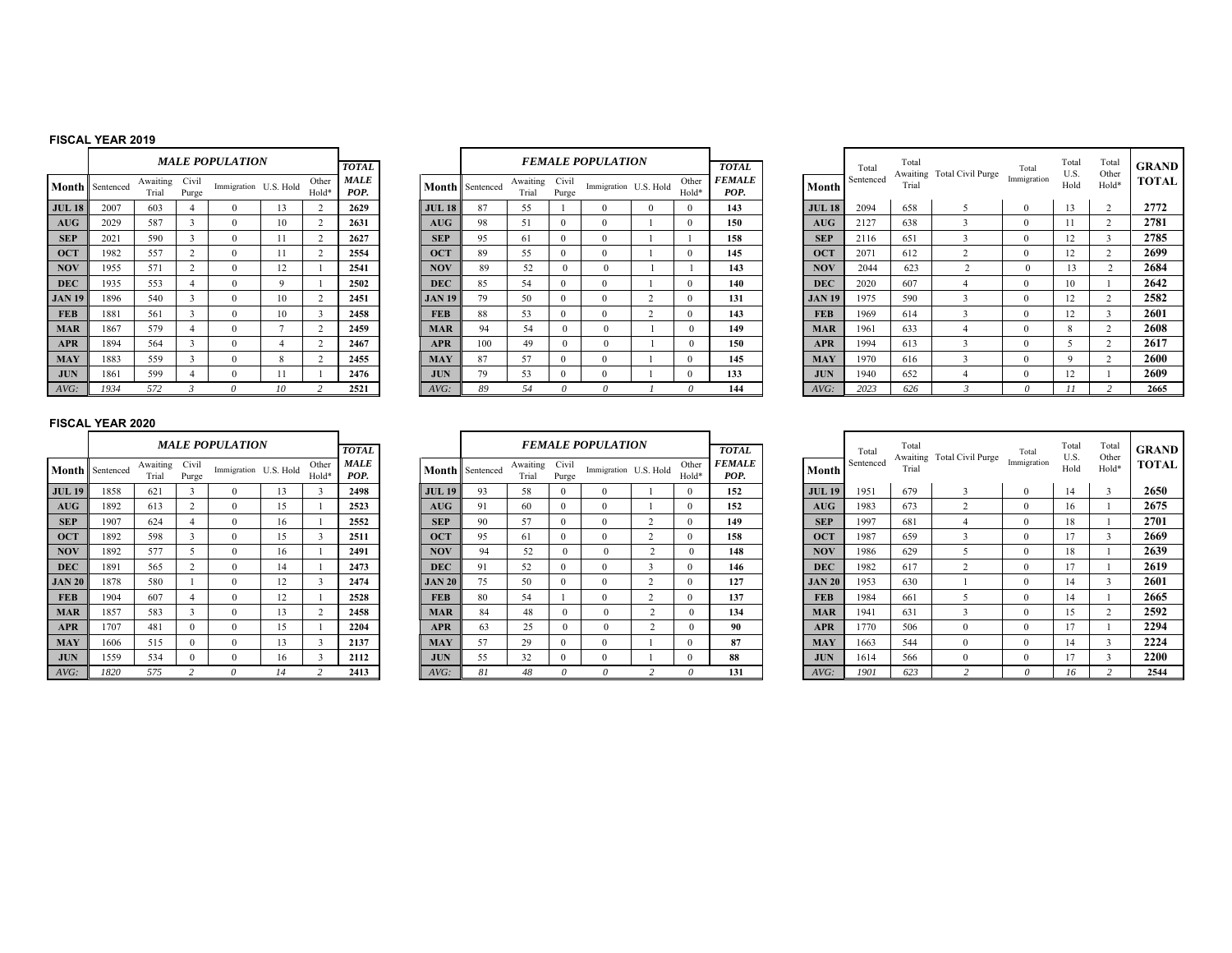### **FISCAL YEAR 2019**

|               |           |                   |                | <b>MALE POPULATION</b> |           |                |                                     |
|---------------|-----------|-------------------|----------------|------------------------|-----------|----------------|-------------------------------------|
| Month         | Sentenced | Awaiting<br>Trial | Civil<br>Purge | Immigration            | U.S. Hold | Other<br>Hold* | <b>TOTAL</b><br><b>MALE</b><br>POP. |
| <b>JUL 18</b> | 2007      | 603               | 4              | $\Omega$               | 13        | $\overline{c}$ | 2629                                |
| AUG           | 2029      | 587               | 3              | $\theta$               | 10        | $\overline{c}$ | 2631                                |
| <b>SEP</b>    | 2021      | 590               | 3              | $\theta$               | 11        | $\overline{c}$ | 2627                                |
| <b>OCT</b>    | 1982      | 557               | $\overline{c}$ | 0                      | 11        | $\overline{c}$ | 2554                                |
| <b>NOV</b>    | 1955      | 571               | $\overline{c}$ | $\Omega$               | 12        | 1              | 2541                                |
| <b>DEC</b>    | 1935      | 553               | 4              | $\theta$               | 9         | 1              | 2502                                |
| <b>JAN 19</b> | 1896      | 540               | 3              | 0                      | 10        | $\overline{c}$ | 2451                                |
| <b>FEB</b>    | 1881      | 561               | 3              | $\Omega$               | 10        | 3              | 2458                                |
| <b>MAR</b>    | 1867      | 579               | 4              | $\theta$               | 7         | $\overline{c}$ | 2459                                |
| <b>APR</b>    | 1894      | 564               | 3              | 0                      | 4         | $\overline{c}$ | 2467                                |
| <b>MAY</b>    | 1883      | 559               | 3              | $\Omega$               | 8         | $\overline{c}$ | 2455                                |
| <b>JUN</b>    | 1861      | 599               | 4              | $\theta$               | 11        | 1              | 2476                                |
| AVG:          | 1934      | 572               | 3              | $\theta$               | 10        | $\overline{c}$ | 2521                                |

|                |                | MALE POPULATION       |                |                | <b>TOTAL</b>        |               |                 |                   |                | <b>FEMALE POPULATION</b> |          |                | <b>TOTAL</b>          |
|----------------|----------------|-----------------------|----------------|----------------|---------------------|---------------|-----------------|-------------------|----------------|--------------------------|----------|----------------|-----------------------|
| ting<br>al     | Civil<br>Purge | Immigration U.S. Hold |                | Other<br>Hold* | <b>MALE</b><br>POP. |               | Month Sentenced | Awaiting<br>Trial | Civil<br>Purge | Immigration U.S. Hold    |          | Other<br>Hold* | <b>FEMALE</b><br>POP. |
| 3              | 4              | $\theta$              | 13             | 2              | 2629                | <b>JUL 18</b> | 87              | 55                |                | $\theta$                 | $\Omega$ | $\Omega$       | 143                   |
| $\overline{ }$ | 3              | $\theta$              | 10             | $\overline{2}$ | 2631                | AUG           | 98              | 51                | $\Omega$       | $\theta$                 |          | $\Omega$       | 150                   |
| $\overline{0}$ | 3              | $\theta$              | 11             | 2              | 2627                | <b>SEP</b>    | 95              | 61                | $\Omega$       | $\theta$                 |          |                | 158                   |
| 7              | 2              | $\theta$              | 11             | 2              | 2554                | <b>OCT</b>    | 89              | 55                | $\Omega$       | $\mathbf{0}$             |          | $\theta$       | 145                   |
|                | 2              | $\theta$              | 12             |                | 2541                | <b>NOV</b>    | 89              | 52                | $\theta$       | $\Omega$                 |          | ш              | 143                   |
| 3              | 4              | $\theta$              | 9              |                | 2502                | <b>DEC</b>    | 85              | 54                | $\Omega$       | $\theta$                 |          | $\Omega$       | 140                   |
| 0              | 3              | $\theta$              | 10             | 2              | 2451                | <b>JAN 19</b> | 79              | 50                | $\Omega$       | $\Omega$                 | 2        | $\theta$       | 131                   |
|                | 3              | $\theta$              | 10             | 3              | 2458                | <b>FEB</b>    | 88              | 53                | $\mathbf{0}$   | $\mathbf{0}$             | 2        | $\mathbf{0}$   | 143                   |
| 9              | 4              | $\theta$              | $\overline{7}$ | 2              | 2459                | <b>MAR</b>    | 94              | 54                | $\theta$       | $\Omega$                 |          | $\Omega$       | 149                   |
| 4              | 3              | $\theta$              | 4              | 2              | 2467                | <b>APR</b>    | 100             | 49                | $\Omega$       | $\theta$                 |          | $\Omega$       | 150                   |
| 9              | 3              | $\theta$              | 8              | 2              | 2455                | <b>MAY</b>    | 87              | 57                | $\Omega$       | $\Omega$                 |          | $\theta$       | 145                   |
| 9              | 4              | $\mathbf{0}$          | 11             |                | 2476                | <b>JUN</b>    | 79              | 53                | $\mathbf{0}$   | $\mathbf{0}$             |          | $\mathbf{0}$   | 133                   |
| C              | 3              | 0                     | 10             | 2              | 2521                | AVG:          | 89              | 54                | 0              | $\theta$                 |          | 0              | 144                   |

|    |                      |                   |                | <b>MALE POPULATION</b> |                |                | <b>TOTAL</b>        |               |                        |                   |                | <b>FEMALE POPULATION</b> |                | <b>TOTAL</b>          |               | Total     | Total | Awaiting Total Civil Purge | Total       | Total<br>U.S. | Total<br>Other | <b>GRAND</b> |
|----|----------------------|-------------------|----------------|------------------------|----------------|----------------|---------------------|---------------|------------------------|-------------------|----------------|--------------------------|----------------|-----------------------|---------------|-----------|-------|----------------------------|-------------|---------------|----------------|--------------|
|    | <b>1th</b> Sentenced | Awaiting<br>Trial | Civil<br>Purge | Immigration U.S. Hold  |                | Other<br>Hold* | <b>MALE</b><br>POP. |               | <b>Month</b> Sentenced | Awaiting<br>Trial | Civil<br>Purge | Immigration U.S. Hold    | Other<br>Hold* | <i>FEMALE</i><br>POP. | Month         | Sentenced | Trial |                            | Immigration | Hold          | Hold*          | <b>TOTAL</b> |
| 18 | 2007                 | 603               |                |                        | $\overline{3}$ |                | 2629                | <b>JUL 18</b> | 87                     | 55                |                |                          |                | 143                   | <b>JUL 18</b> | 2094      | 658   |                            | $\theta$    | 13            |                | 2772         |
| G  | 2029                 | 587               |                |                        | 10             |                | 2631                | AUG           | 98                     | 51                |                |                          |                | 150                   | AUG           | 2127      | 638   |                            |             |               |                | 2781         |
|    | 2021                 | 590               |                |                        |                |                | 2627                | <b>SEP</b>    | 95                     | 61                |                |                          |                | 158                   | <b>SEP</b>    | 2116      | 651   |                            | $\theta$    | 12            |                | 2785         |
|    | 1982                 | 557               |                |                        | L 1            |                | 2554                | <b>OCT</b>    | 89                     | 55                |                |                          |                | 145                   | <b>OCT</b>    | 2071      | 612   |                            | $\Omega$    | 12            |                | 2699         |
|    | 1955                 | 571               |                |                        | 12             |                | 2541                | <b>NOV</b>    | 89                     | 52                |                |                          |                | 143                   | <b>NOV</b>    | 2044      | 623   |                            | $\Omega$    | 13            |                | 2684         |
|    | 1935                 | 553               |                |                        |                |                | 2502                | <b>DEC</b>    | 85                     | 54                |                |                          |                | 140                   | <b>DEC</b>    | 2020      | 607   |                            |             | 10            |                | 2642         |
| 19 | 1896                 | 540               |                |                        | 10             |                | 2451                | <b>JAN 19</b> | 79                     | 50                |                |                          |                | 131                   | <b>JAN 19</b> | 1975      | 590   |                            |             | 12            |                | 2582         |
|    | 1881                 | 561               |                |                        | 10             |                | 2458                | <b>FEB</b>    | 88                     | 53                |                |                          |                | 143                   | <b>FEB</b>    | 1969      | 614   |                            | $^{\prime}$ | 12            |                | 2601         |
|    | 1867                 | 579               |                |                        |                |                | 2459                | <b>MAR</b>    |                        | 54                |                |                          |                | 149                   | <b>MAR</b>    | 1961      | 633   |                            |             | 8             |                | 2608         |
|    | 1894                 | 564               |                |                        |                |                | 2467                | <b>APR</b>    | 100                    | 49                |                |                          |                | 150                   | <b>APR</b>    | 1994      | 613   |                            |             |               |                | 2617         |
|    | 1883                 | 559               |                |                        |                |                | 2455                | <b>MAY</b>    | 87                     | 57                |                |                          |                | 145                   | <b>MAY</b>    | 1970      | 616   |                            | $\Omega$    |               |                | 2600         |
|    | 1861                 | 599               |                |                        |                |                | 2476                | <b>JUN</b>    | 79                     | 53                |                |                          |                | 133                   | <b>JUN</b>    | 1940      | 652   |                            | $\theta$    | 12            |                | 2609         |
|    | 1934                 | 572               |                |                        | 10             |                | 2521                | AVG:          |                        | 54                |                |                          |                | 144                   | AVG:          | 2023      | 626   |                            |             |               |                | 2665         |

|               |           |                   |                | <b>MALE POPULATION</b> |    |                |                     |
|---------------|-----------|-------------------|----------------|------------------------|----|----------------|---------------------|
|               |           |                   |                |                        |    |                | <b>TOTAL</b>        |
| Month         | Sentenced | Awaiting<br>Trial | Civil<br>Purge | Immigration U.S. Hold  |    | Other<br>Hold* | <b>MALE</b><br>POP. |
| <b>JUL 19</b> | 1858      | 621               | 3              | $\Omega$               | 13 | 3              | 2498                |
| AUG           | 1892      | 613               | $\overline{c}$ | $\theta$               | 15 | 1              | 2523                |
| <b>SEP</b>    | 1907      | 624               | 4              | $\Omega$               | 16 | 1              | 2552                |
| <b>OCT</b>    | 1892      | 598               | 3              | $\Omega$               | 15 | 3              | 2511                |
| <b>NOV</b>    | 1892      | 577               | 5              | $\theta$               | 16 | 1              | 2491                |
| <b>DEC</b>    | 1891      | 565               | $\overline{c}$ | $\theta$               | 14 | 1              | 2473                |
| <b>JAN 20</b> | 1878      | 580               | 1              | $\theta$               | 12 | 3              | 2474                |
| <b>FEB</b>    | 1904      | 607               | 4              | $\theta$               | 12 | 1              | 2528                |
| <b>MAR</b>    | 1857      | 583               | 3              | $\Omega$               | 13 | $\overline{c}$ | 2458                |
| <b>APR</b>    | 1707      | 481               | $\theta$       | $\Omega$               | 15 | 1              | 2204                |
| <b>MAY</b>    | 1606      | 515               | $\Omega$       | $\theta$               | 13 | 3              | 2137                |
| <b>JUN</b>    | 1559      | 534               | $\theta$       | $\theta$               | 16 | 3              | 2112                |
| AVG:          | 1820      | 575               | $\mathfrak{p}$ | $\theta$               | 14 | $\overline{c}$ | 2413                |

|                   |                   | <b>MALE POPULATION</b> |    |                | <b>TOTAL</b> |               |                        |                   |                | <b>FEMALE POPULATION</b> |                       |                | <b>TOTAL</b>          |                  | Total     | Total<br>Awaiting | Total Civil Purge | Total       |
|-------------------|-------------------|------------------------|----|----------------|--------------|---------------|------------------------|-------------------|----------------|--------------------------|-----------------------|----------------|-----------------------|------------------|-----------|-------------------|-------------------|-------------|
| Awaiting<br>Trial | Civil<br>Purge    | Immigration U.S. Hold  |    | Other<br>Hold* | MALE<br>POP. |               | <b>Month</b> Sentenced | Awaiting<br>Trial | Civil<br>Purge |                          | Immigration U.S. Hold | Other<br>Hold* | <b>FEMALE</b><br>POP. | Month            | Sentenced | Trial             |                   | Immigration |
| 621               | 3                 |                        | 13 |                | 2498         | <b>JUL 19</b> | 93                     | 58                | $\theta$       |                          |                       | 0              | 152                   | <b>JUL 19</b>    | 1951      | 679               |                   |             |
| 613               | $\overline{2}$    | $\Omega$               | 15 |                | 2523         | AUG           | 91                     | 60                | $\theta$       | $\Omega$                 |                       | $\theta$       | 152                   | $A\overline{U}G$ | 1983      | 673               | $\sim$            |             |
| 624               | $\overline{4}$    |                        | 16 |                | 2552         | <b>SEP</b>    | 90                     | 57                | $\theta$       | $\Omega$                 | $\sim$                | 0              | 149                   | <b>SEP</b>       | 1997      | 681               |                   |             |
| 598               | 3                 | 0                      | 15 |                | 2511         | <b>OCT</b>    | 95                     | 61                | $\theta$       | $\theta$                 | $\sim$                |                | 158                   | <b>OCT</b>       | 1987      | 659               |                   |             |
| 577               | 5                 | $\Omega$               | 16 |                | 2491         | <b>NOV</b>    | 94                     | 52                |                | $\theta$                 | 2                     | $\Omega$       | 148                   | <b>NOV</b>       | 1986      | 629               |                   |             |
| 565               | Δ                 | 0                      | 14 |                | 2473         | <b>DEC</b>    | 91                     | 52                | $\theta$       | 0                        |                       | 0              | 146                   | <b>DEC</b>       | 1982      | 617               | $\sim$            |             |
| 580               |                   | $\Omega$               | 12 |                | 2474         | <b>JAN 20</b> | 75                     | 50                | $\theta$       | $\mathbf{0}$             | $\sim$                |                | 127                   | <b>JAN 20</b>    | 1953      | 630               |                   | $\theta$    |
| 607               | 4                 | $\Omega$               | 12 |                | 2528         | <b>FEB</b>    | 80                     | 54                |                | $\theta$                 | $\sim$                | $\theta$       | 137                   | <b>FEB</b>       | 1984      | 661               |                   |             |
| 583               | o<br>5            |                        | 13 |                | 2458         | <b>MAR</b>    | 84                     | 48                |                | $\theta$                 | $\sim$                |                | 134                   | <b>MAR</b>       | 1941      | 631               |                   |             |
| 481               | $\Omega$          | $\Omega$               | 15 |                | 2204         | <b>APR</b>    | 63                     | 25                |                | $\theta$                 | $\overline{c}$        | $\Omega$       | 90                    | <b>APR</b>       | 1770      | 506               |                   |             |
| 515               | $\Omega$          | $\Omega$               | 13 |                | 2137         | <b>MAY</b>    | 57                     | 29                | $\theta$       | $\theta$                 |                       | $\Omega$       | 87                    | <b>MAY</b>       | 1663      | 544               |                   |             |
| 534               | $\theta$          |                        | 16 |                | 2112         | <b>JUN</b>    | 55                     | 32                | $\Omega$       | $\Omega$                 |                       |                | 88                    | <b>JUN</b>       | 1614      | 566               |                   |             |
| 575               | $\mathbf{\hat{}}$ |                        | 14 |                | 2413         | AVG:          | 81                     | 48                |                | $\theta$                 |                       |                | 131                   | AVG:             | 1901      | 623               |                   |             |

|    |                      |                   |                | <b>MALE POPULATION</b> |    |                | <b>TOTAL</b>        |                  |                 |                   |                | <b>FEMALE POPULATION</b> |                | <b>TOTAL</b>          |               | Total     | Total | Awaiting Total Civil Purge | Total       | Total<br>U.S. | Total<br>Other | <b>GRAND</b> |
|----|----------------------|-------------------|----------------|------------------------|----|----------------|---------------------|------------------|-----------------|-------------------|----------------|--------------------------|----------------|-----------------------|---------------|-----------|-------|----------------------------|-------------|---------------|----------------|--------------|
|    | <b>1th</b> Sentenced | Awaiting<br>Trial | Civil<br>Purge | Immigration U.S. Hold  |    | Other<br>Hold* | <b>MALE</b><br>POP. |                  | Month Sentenced | Awaiting<br>Trial | Civil<br>Purge | Immigration U.S. Hold    | Other<br>Hold* | <b>FEMALE</b><br>POP. | <b>Month</b>  | Sentenced | Trial |                            | Immigration | Hold          | Hold*          | <b>TOTAL</b> |
| 19 | 1858                 | 621               |                |                        | 13 |                | 2498                | <b>JUL 19</b>    | 93              | 58                |                |                          |                | 152                   | <b>JUL 19</b> | 1951      | 679   |                            |             | 14            |                | 2650         |
| G. | 1892                 | 613               |                |                        | 15 |                | 2523                | $A\overline{U}G$ | 91              | 60                |                |                          |                | 152                   | <b>AUG</b>    | 1983      | 673   |                            |             | 16            |                | 2675         |
|    | 1907                 | 624               |                |                        | 16 |                | 2552                | <b>SEP</b>       | 90              | 57                |                |                          |                | 149                   | <b>SEP</b>    | 1997      | 681   |                            |             | 18            |                | 2701         |
|    | 1892                 | 598               |                |                        | 15 |                | 2511                | <b>OCT</b>       | 95              | 61                |                |                          |                | 158                   | <b>OCT</b>    | 1987      | 659   |                            |             | 17            |                | 2669         |
|    | 1892                 | 577               |                |                        | 16 |                | 2491                | <b>NOV</b>       | 94              | 52                |                |                          |                | 148                   | <b>NOV</b>    | 1986      | 629   |                            |             | 18            |                | 2639         |
|    | 189                  | 565               |                |                        | 14 |                | 2473                | <b>DEC</b>       |                 | 52                |                |                          |                | 146                   | <b>DEC</b>    | 1982      | 617   |                            |             |               |                | 2619         |
| 20 | 1878                 | 580               |                |                        | 12 |                | 2474                | <b>JAN 20</b>    | 75              | 50                |                |                          |                | 127                   | <b>JAN 20</b> | 1953      | 630   |                            |             | 14            |                | 2601         |
|    | 1904                 | 607               |                |                        | 12 |                | 2528                | <b>FEB</b>       | 80              | 54                |                |                          |                | 137                   | <b>FEB</b>    | 1984      | 661   |                            |             | 14            |                | 2665         |
|    | 1857                 | 583               |                |                        | 13 |                | 2458                | <b>MAR</b>       | 84              | 48                |                |                          |                | 134                   | <b>MAR</b>    | 1941      | 631   |                            |             | 15            |                | 2592         |
|    | 1707                 | 481               |                |                        | 15 |                | 2204                | <b>APR</b>       | 63              | 25                |                |                          |                | 90                    | <b>APR</b>    | 1770      | 506   |                            |             |               |                | 2294         |
|    | 1606                 | 515               |                |                        | 13 |                | 2137                | <b>MAY</b>       | 57              | 29                |                |                          |                | 87                    | <b>MAY</b>    | 1663      | 544   |                            |             | 14            |                | 2224         |
|    | 1559                 | 534               |                |                        | 16 |                | 2112                | <b>JUN</b>       | 55              | 32                |                |                          |                | 88                    | <b>JUN</b>    | 1614      | 566   |                            |             |               |                | 2200         |
|    | 1820                 | 575               |                |                        |    |                | 2413                | $AVG$ :          |                 | 48                |                |                          |                | 131                   | AVG:          | 190i      | 623   |                            |             |               |                | 2544         |